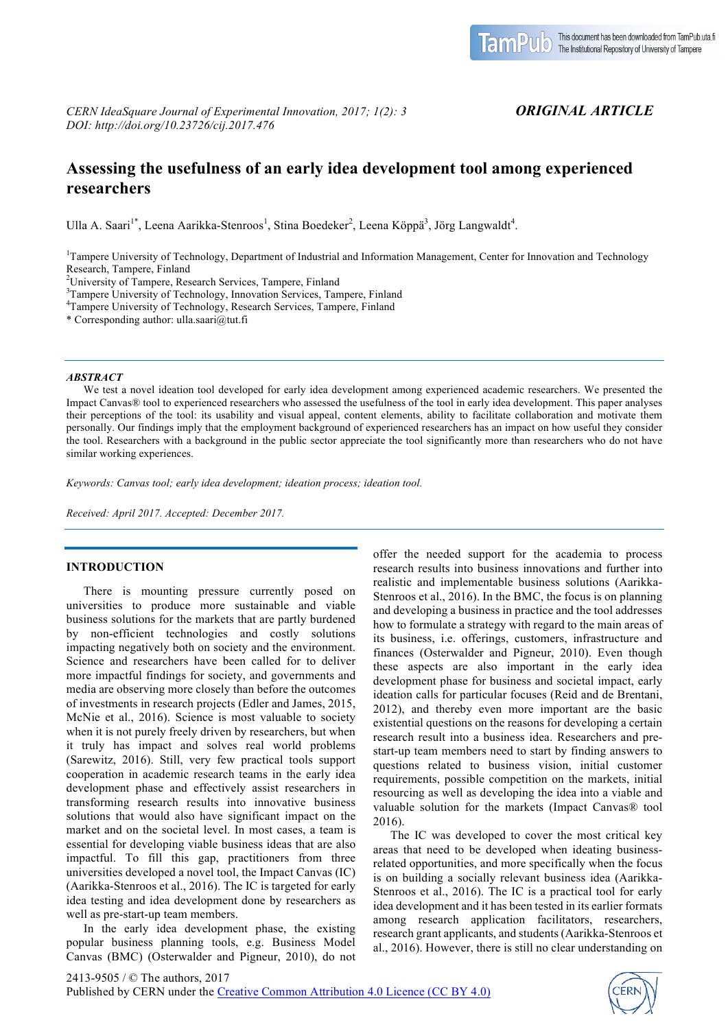# *ORIGINAL ARTICLE*

# **Assessing the usefulness of an early idea development tool among experienced researchers**

Ulla A. Saari<sup>1\*</sup>, Leena Aarikka-Stenroos<sup>1</sup>, Stina Boedeker<sup>2</sup>, Leena Köppä<sup>3</sup>, Jörg Langwaldt<sup>4</sup>.

<sup>1</sup>Tampere University of Technology, Department of Industrial and Information Management, Center for Innovation and Technology Research, Tampere, Finland

 $^{2}$ University of Tampere, Research Services, Tampere, Finland  $^{3}$ Tampere, University of Tachpalogy, Inpoverior Services, Tam

<sup>3</sup>Tampere University of Technology, Innovation Services, Tampere, Finland

Tampere University of Technology, Research Services, Tampere, Finland

\* Corresponding author: ulla.saari@tut.fi

#### *ABSTRACT*

We test a novel ideation tool developed for early idea development among experienced academic researchers. We presented the Impact Canvas® tool to experienced researchers who assessed the usefulness of the tool in early idea development. This paper analyses their perceptions of the tool: its usability and visual appeal, content elements, ability to facilitate collaboration and motivate them personally. Our findings imply that the employment background of experienced researchers has an impact on how useful they consider the tool. Researchers with a background in the public sector appreciate the tool significantly more than researchers who do not have similar working experiences.

*Keywords: Canvas tool; early idea development; ideation process; ideation tool.*

*Received: April 2017. Accepted: December 2017.*

## **INTRODUCTION**

There is mounting pressure currently posed on universities to produce more sustainable and viable business solutions for the markets that are partly burdened by non-efficient technologies and costly solutions impacting negatively both on society and the environment. Science and researchers have been called for to deliver more impactful findings for society, and governments and media are observing more closely than before the outcomes of investments in research projects (Edler and James, 2015, McNie et al., 2016). Science is most valuable to society when it is not purely freely driven by researchers, but when it truly has impact and solves real world problems (Sarewitz, 2016). Still, very few practical tools support cooperation in academic research teams in the early idea development phase and effectively assist researchers in transforming research results into innovative business solutions that would also have significant impact on the market and on the societal level. In most cases, a team is essential for developing viable business ideas that are also impactful. To fill this gap, practitioners from three universities developed a novel tool, the Impact Canvas (IC) (Aarikka-Stenroos et al., 2016). The IC is targeted for early idea testing and idea development done by researchers as well as pre-start-up team members.

In the early idea development phase, the existing popular business planning tools, e.g. Business Model Canvas (BMC) (Osterwalder and Pigneur, 2010), do not offer the needed support for the academia to process research results into business innovations and further into realistic and implementable business solutions (Aarikka-Stenroos et al., 2016). In the BMC, the focus is on planning and developing a business in practice and the tool addresses how to formulate a strategy with regard to the main areas of its business, i.e. offerings, customers, infrastructure and finances (Osterwalder and Pigneur, 2010). Even though these aspects are also important in the early idea development phase for business and societal impact, early ideation calls for particular focuses (Reid and de Brentani, 2012), and thereby even more important are the basic existential questions on the reasons for developing a certain research result into a business idea. Researchers and prestart-up team members need to start by finding answers to questions related to business vision, initial customer requirements, possible competition on the markets, initial resourcing as well as developing the idea into a viable and valuable solution for the markets (Impact Canvas® tool 2016).

The IC was developed to cover the most critical key areas that need to be developed when ideating businessrelated opportunities, and more specifically when the focus is on building a socially relevant business idea (Aarikka-Stenroos et al., 2016). The IC is a practical tool for early idea development and it has been tested in its earlier formats among research application facilitators, researchers, research grant applicants, and students(Aarikka-Stenroos et al., 2016). However, there is still no clear understanding on

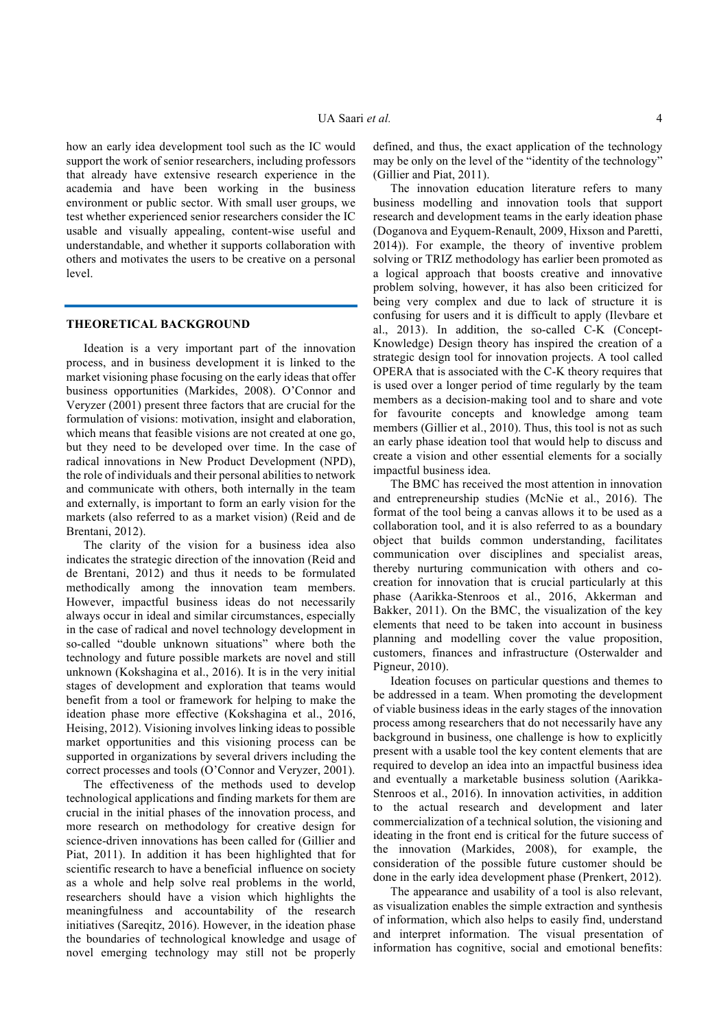how an early idea development tool such as the IC would support the work of senior researchers, including professors that already have extensive research experience in the academia and have been working in the business environment or public sector. With small user groups, we test whether experienced senior researchers consider the IC usable and visually appealing, content-wise useful and understandable, and whether it supports collaboration with others and motivates the users to be creative on a personal level.

#### **THEORETICAL BACKGROUND**

Ideation is a very important part of the innovation process, and in business development it is linked to the market visioning phase focusing on the early ideas that offer business opportunities (Markides, 2008). O'Connor and Veryzer (2001) present three factors that are crucial for the formulation of visions: motivation, insight and elaboration, which means that feasible visions are not created at one go, but they need to be developed over time. In the case of radical innovations in New Product Development (NPD), the role of individuals and their personal abilities to network and communicate with others, both internally in the team and externally, is important to form an early vision for the markets (also referred to as a market vision) (Reid and de Brentani, 2012).

The clarity of the vision for a business idea also indicates the strategic direction of the innovation (Reid and de Brentani, 2012) and thus it needs to be formulated methodically among the innovation team members. However, impactful business ideas do not necessarily always occur in ideal and similar circumstances, especially in the case of radical and novel technology development in so-called "double unknown situations" where both the technology and future possible markets are novel and still unknown (Kokshagina et al., 2016). It is in the very initial stages of development and exploration that teams would benefit from a tool or framework for helping to make the ideation phase more effective (Kokshagina et al., 2016, Heising, 2012). Visioning involves linking ideas to possible market opportunities and this visioning process can be supported in organizations by several drivers including the correct processes and tools (O'Connor and Veryzer, 2001).

The effectiveness of the methods used to develop technological applications and finding markets for them are crucial in the initial phases of the innovation process, and more research on methodology for creative design for science-driven innovations has been called for (Gillier and Piat, 2011). In addition it has been highlighted that for scientific research to have a beneficial influence on society as a whole and help solve real problems in the world, researchers should have a vision which highlights the meaningfulness and accountability of the research initiatives (Sareqitz, 2016). However, in the ideation phase the boundaries of technological knowledge and usage of novel emerging technology may still not be properly defined, and thus, the exact application of the technology may be only on the level of the "identity of the technology" (Gillier and Piat, 2011).

The innovation education literature refers to many business modelling and innovation tools that support research and development teams in the early ideation phase (Doganova and Eyquem-Renault, 2009, Hixson and Paretti, 2014)). For example, the theory of inventive problem solving or TRIZ methodology has earlier been promoted as a logical approach that boosts creative and innovative problem solving, however, it has also been criticized for being very complex and due to lack of structure it is confusing for users and it is difficult to apply (Ilevbare et al., 2013). In addition, the so-called C-K (Concept-Knowledge) Design theory has inspired the creation of a strategic design tool for innovation projects. A tool called OPERA that is associated with the C-K theory requires that is used over a longer period of time regularly by the team members as a decision-making tool and to share and vote for favourite concepts and knowledge among team members (Gillier et al., 2010). Thus, this tool is not as such an early phase ideation tool that would help to discuss and create a vision and other essential elements for a socially impactful business idea.

The BMC has received the most attention in innovation and entrepreneurship studies (McNie et al., 2016). The format of the tool being a canvas allows it to be used as a collaboration tool, and it is also referred to as a boundary object that builds common understanding, facilitates communication over disciplines and specialist areas, thereby nurturing communication with others and cocreation for innovation that is crucial particularly at this phase (Aarikka-Stenroos et al., 2016, Akkerman and Bakker, 2011). On the BMC, the visualization of the key elements that need to be taken into account in business planning and modelling cover the value proposition, customers, finances and infrastructure (Osterwalder and Pigneur, 2010).

Ideation focuses on particular questions and themes to be addressed in a team. When promoting the development of viable business ideas in the early stages of the innovation process among researchers that do not necessarily have any background in business, one challenge is how to explicitly present with a usable tool the key content elements that are required to develop an idea into an impactful business idea and eventually a marketable business solution (Aarikka-Stenroos et al., 2016). In innovation activities, in addition to the actual research and development and later commercialization of a technical solution, the visioning and ideating in the front end is critical for the future success of the innovation (Markides, 2008), for example, the consideration of the possible future customer should be done in the early idea development phase (Prenkert, 2012).

The appearance and usability of a tool is also relevant. as visualization enables the simple extraction and synthesis of information, which also helps to easily find, understand and interpret information. The visual presentation of information has cognitive, social and emotional benefits: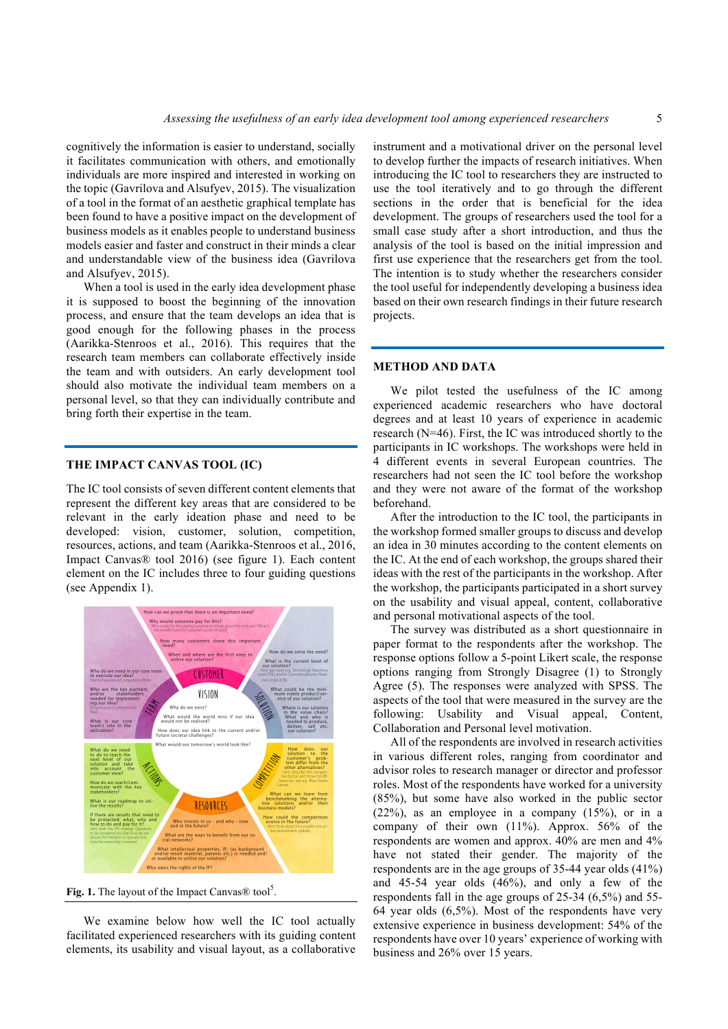cognitively the information is easier to understand, socially it facilitates communication with others, and emotionally individuals are more inspired and interested in working on the topic (Gavrilova and Alsufyev, 2015). The visualization of a tool in the format of an aesthetic graphical template has been found to have a positive impact on the development of business models as it enables people to understand business models easier and faster and construct in their minds a clear and understandable view of the business idea (Gavrilova and Alsufyev, 2015).

When a tool is used in the early idea development phase it is supposed to boost the beginning of the innovation process, and ensure that the team develops an idea that is good enough for the following phases in the process (Aarikka-Stenroos et al., 2016). This requires that the research team members can collaborate effectively inside the team and with outsiders. An early development tool should also motivate the individual team members on a personal level, so that they can individually contribute and bring forth their expertise in the team.

### **THE IMPACT CANVAS TOOL (IC)**

The IC tool consists of seven different content elements that represent the different key areas that are considered to be relevant in the early ideation phase and need to be developed: vision, customer, solution, competition, resources, actions, and team (Aarikka-Stenroos et al., 2016, Impact Canvas® tool 2016) (see figure 1). Each content element on the IC includes three to four guiding questions (see Appendix 1).



Fig. 1. The layout of the Impact Canvas $\otimes$  tool<sup>5</sup>.

We examine below how well the IC tool actually facilitated experienced researchers with its guiding content elements, its usability and visual layout, as a collaborative instrument and a motivational driver on the personal level to develop further the impacts of research initiatives. When introducing the IC tool to researchers they are instructed to use the tool iteratively and to go through the different sections in the order that is beneficial for the idea development. The groups of researchers used the tool for a small case study after a short introduction, and thus the analysis of the tool is based on the initial impression and first use experience that the researchers get from the tool. The intention is to study whether the researchers consider the tool useful for independently developing a business idea based on their own research findings in their future research projects.

## **METHOD AND DATA**

We pilot tested the usefulness of the IC among experienced academic researchers who have doctoral degrees and at least 10 years of experience in academic research (N=46). First, the IC was introduced shortly to the participants in IC workshops. The workshops were held in 4 different events in several European countries. The researchers had not seen the IC tool before the workshop and they were not aware of the format of the workshop beforehand.

After the introduction to the IC tool, the participants in the workshop formed smaller groups to discuss and develop an idea in 30 minutes according to the content elements on the IC. At the end of each workshop, the groups shared their ideas with the rest of the participants in the workshop. After the workshop, the participants participated in a short survey on the usability and visual appeal, content, collaborative and personal motivational aspects of the tool.

The survey was distributed as a short questionnaire in paper format to the respondents after the workshop. The response options follow a 5-point Likert scale, the response options ranging from Strongly Disagree (1) to Strongly Agree (5). The responses were analyzed with SPSS. The aspects of the tool that were measured in the survey are the following: Usability and Visual appeal, Content, Collaboration and Personal level motivation.

All of the respondents are involved in research activities in various different roles, ranging from coordinator and advisor roles to research manager or director and professor roles. Most of the respondents have worked for a university (85%), but some have also worked in the public sector  $(22\%)$ , as an employee in a company  $(15\%)$ , or in a company of their own (11%). Approx. 56% of the respondents are women and approx. 40% are men and 4% have not stated their gender. The majority of the respondents are in the age groups of 35-44 year olds (41%) and 45-54 year olds (46%), and only a few of the respondents fall in the age groups of 25-34 (6,5%) and 55- 64 year olds (6,5%). Most of the respondents have very extensive experience in business development: 54% of the respondents have over 10 years' experience of working with business and 26% over 15 years.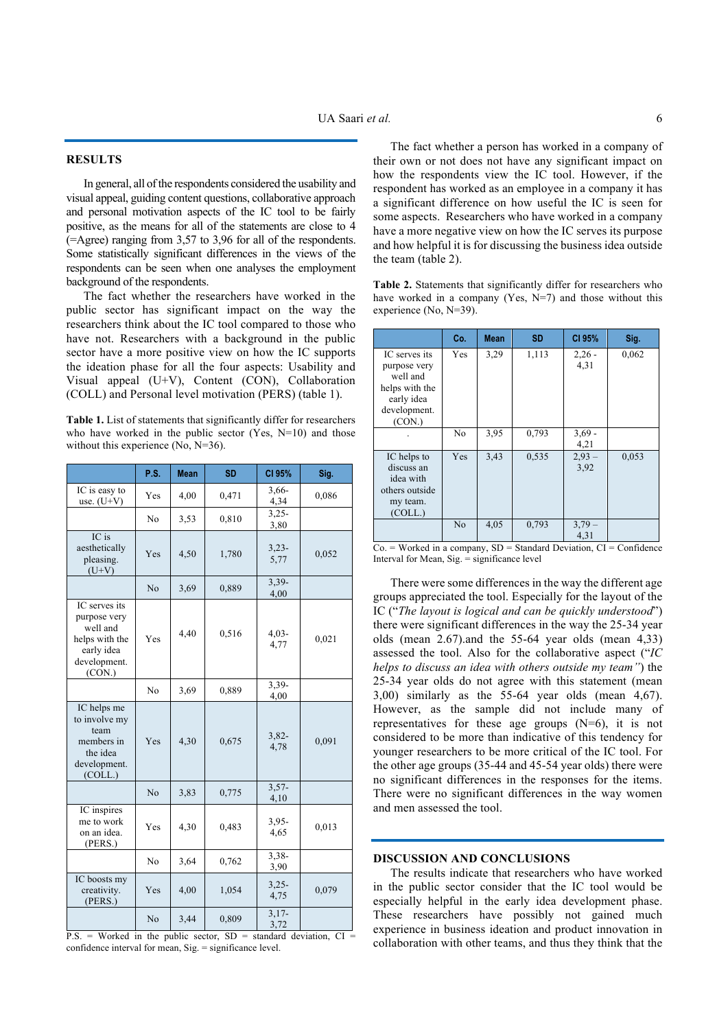## **RESULTS**

In general, all of the respondents considered the usability and visual appeal, guiding content questions, collaborative approach and personal motivation aspects of the IC tool to be fairly positive, as the means for all of the statements are close to 4 (=Agree) ranging from 3,57 to 3,96 for all of the respondents. Some statistically significant differences in the views of the respondents can be seen when one analyses the employment background of the respondents.

The fact whether the researchers have worked in the public sector has significant impact on the way the researchers think about the IC tool compared to those who have not. Researchers with a background in the public sector have a more positive view on how the IC supports the ideation phase for all the four aspects: Usability and Visual appeal (U+V), Content (CON), Collaboration (COLL) and Personal level motivation (PERS) (table 1).

**Table 1.** List of statements that significantly differ for researchers who have worked in the public sector (Yes,  $N=10$ ) and those without this experience (No, N=36).

|                                                                                                     | P.S.           | <b>Mean</b> | <b>SD</b> | CI 95%          | Sig.  |
|-----------------------------------------------------------------------------------------------------|----------------|-------------|-----------|-----------------|-------|
| IC is easy to<br>use. $(U+V)$                                                                       | Yes            | 4,00        | 0,471     | $3,66-$<br>4,34 | 0,086 |
|                                                                                                     | N <sub>0</sub> | 3,53        | 0,810     | $3,25-$<br>3,80 |       |
| IC is<br>aesthetically<br>pleasing.<br>$(U+V)$                                                      | Yes            | 4,50        | 1,780     | $3,23-$<br>5,77 | 0,052 |
|                                                                                                     | N <sub>o</sub> | 3,69        | 0,889     | $3,39-$<br>4,00 |       |
| IC serves its<br>purpose very<br>well and<br>helps with the<br>early idea<br>development.<br>(CON.) | Yes            | 4,40        | 0,516     | $4,03-$<br>4,77 | 0,021 |
|                                                                                                     | No             | 3.69        | 0,889     | 3,39-<br>4,00   |       |
| IC helps me<br>to involve my<br>team<br>members in<br>the idea<br>development.<br>(COLL.)           | Yes            | 4,30        | 0,675     | $3,82-$<br>4,78 | 0,091 |
|                                                                                                     | N <sub>o</sub> | 3,83        | 0,775     | $3,57-$<br>4,10 |       |
| IC inspires<br>me to work<br>on an idea.<br>(PERS.)                                                 | Yes            | 4,30        | 0,483     | $3,95-$<br>4,65 | 0,013 |
|                                                                                                     | N <sub>o</sub> | 3,64        | 0,762     | $3,38-$<br>3,90 |       |
| IC boosts my<br>creativity.<br>(PERS.)                                                              | Yes            | 4,00        | 1,054     | $3,25-$<br>4,75 | 0,079 |
|                                                                                                     | N <sub>o</sub> | 3,44        | 0,809     | $3,17-$<br>3,72 |       |

 $P.S.$  = Worked in the public sector,  $SD =$  standard deviation,  $CI =$ confidence interval for mean, Sig. = significance level.

The fact whether a person has worked in a company of their own or not does not have any significant impact on how the respondents view the IC tool. However, if the respondent has worked as an employee in a company it has a significant difference on how useful the IC is seen for some aspects. Researchers who have worked in a company have a more negative view on how the IC serves its purpose and how helpful it is for discussing the business idea outside the team (table 2).

**Table 2.** Statements that significantly differ for researchers who have worked in a company (Yes,  $N=7$ ) and those without this experience (No, N=39).

|                                                                                                     | Co.            | <b>Mean</b> | <b>SD</b> | CI 95%           | Sig.  |
|-----------------------------------------------------------------------------------------------------|----------------|-------------|-----------|------------------|-------|
| IC serves its<br>purpose very<br>well and<br>helps with the<br>early idea<br>development.<br>(CON.) | Yes            | 3,29        | 1,113     | $2,26 -$<br>4,31 | 0,062 |
|                                                                                                     | No             | 3.95        | 0,793     | $3,69 -$<br>4,21 |       |
| IC helps to<br>discuss an<br>idea with<br>others outside<br>my team.<br>(COLL.)                     | Yes            | 3,43        | 0,535     | $2,93 -$<br>3,92 | 0,053 |
|                                                                                                     | N <sub>0</sub> | 4,05        | 0,793     | $3,79-$<br>4,31  |       |

 $Co.$  = Worked in a company,  $SD = Standard Deviation, CI = Confidence$ Interval for Mean, Sig. = significance level

There were some differences in the way the different age groups appreciated the tool. Especially for the layout of the IC ("*The layout is logical and can be quickly understood*") there were significant differences in the way the 25-34 year olds (mean 2.67).and the 55-64 year olds (mean 4,33) assessed the tool. Also for the collaborative aspect ("*IC helps to discuss an idea with others outside my team"*) the 25-34 year olds do not agree with this statement (mean 3,00) similarly as the 55-64 year olds (mean 4,67). However, as the sample did not include many of representatives for these age groups  $(N=6)$ , it is not considered to be more than indicative of this tendency for younger researchers to be more critical of the IC tool. For the other age groups (35-44 and 45-54 year olds) there were no significant differences in the responses for the items. There were no significant differences in the way women and men assessed the tool.

### **DISCUSSION AND CONCLUSIONS**

The results indicate that researchers who have worked in the public sector consider that the IC tool would be especially helpful in the early idea development phase. These researchers have possibly not gained much experience in business ideation and product innovation in collaboration with other teams, and thus they think that the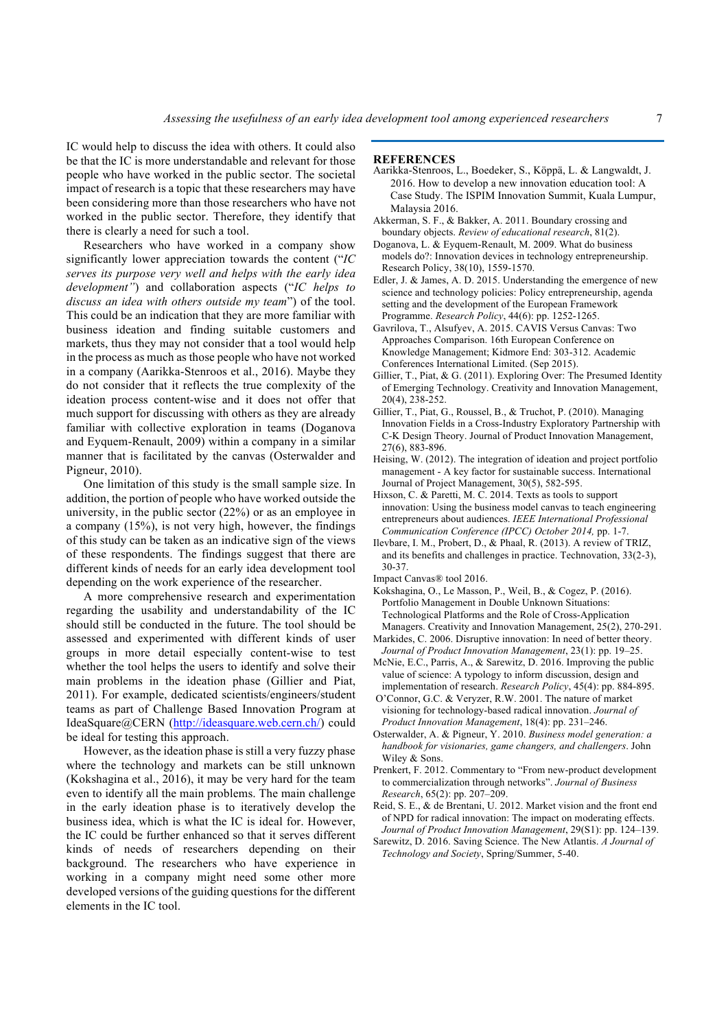IC would help to discuss the idea with others. It could also be that the IC is more understandable and relevant for those people who have worked in the public sector. The societal impact of research is a topic that these researchers may have been considering more than those researchers who have not worked in the public sector. Therefore, they identify that there is clearly a need for such a tool.

Researchers who have worked in a company show significantly lower appreciation towards the content ("*IC serves its purpose very well and helps with the early idea development"*) and collaboration aspects ("*IC helps to discuss an idea with others outside my team*") of the tool. This could be an indication that they are more familiar with business ideation and finding suitable customers and markets, thus they may not consider that a tool would help in the process as much as those people who have not worked in a company (Aarikka-Stenroos et al., 2016). Maybe they do not consider that it reflects the true complexity of the ideation process content-wise and it does not offer that much support for discussing with others as they are already familiar with collective exploration in teams (Doganova and Eyquem-Renault, 2009) within a company in a similar manner that is facilitated by the canvas (Osterwalder and Pigneur, 2010).

One limitation of this study is the small sample size. In addition, the portion of people who have worked outside the university, in the public sector (22%) or as an employee in a company (15%), is not very high, however, the findings of this study can be taken as an indicative sign of the views of these respondents. The findings suggest that there are different kinds of needs for an early idea development tool depending on the work experience of the researcher.

A more comprehensive research and experimentation regarding the usability and understandability of the IC should still be conducted in the future. The tool should be assessed and experimented with different kinds of user groups in more detail especially content-wise to test whether the tool helps the users to identify and solve their main problems in the ideation phase (Gillier and Piat, 2011). For example, dedicated scientists/engineers/student teams as part of Challenge Based Innovation Program at IdeaSquare@CERN (http://ideasquare.web.cern.ch/) could be ideal for testing this approach.

However, as the ideation phase is still a very fuzzy phase where the technology and markets can be still unknown (Kokshagina et al., 2016), it may be very hard for the team even to identify all the main problems. The main challenge in the early ideation phase is to iteratively develop the business idea, which is what the IC is ideal for. However, the IC could be further enhanced so that it serves different kinds of needs of researchers depending on their background. The researchers who have experience in working in a company might need some other more developed versions of the guiding questions for the different elements in the IC tool.

### **REFERENCES**

- Aarikka-Stenroos, L., Boedeker, S., Köppä, L. & Langwaldt, J. 2016. How to develop a new innovation education tool: A Case Study. The ISPIM Innovation Summit, Kuala Lumpur, Malaysia 2016.
- Akkerman, S. F., & Bakker, A. 2011. Boundary crossing and boundary objects. *Review of educational research*, 81(2).
- Doganova, L. & Eyquem-Renault, M. 2009. What do business models do?: Innovation devices in technology entrepreneurship. Research Policy, 38(10), 1559-1570.
- Edler, J. & James, A. D. 2015. Understanding the emergence of new science and technology policies: Policy entrepreneurship, agenda setting and the development of the European Framework Programme. *Research Policy*, 44(6): pp. 1252-1265.
- Gavrilova, T., Alsufyev, A. 2015. CAVIS Versus Canvas: Two Approaches Comparison. 16th European Conference on Knowledge Management; Kidmore End: 303-312. Academic Conferences International Limited. (Sep 2015).
- Gillier, T., Piat, & G. (2011). Exploring Over: The Presumed Identity of Emerging Technology. Creativity and Innovation Management, 20(4), 238-252.
- Gillier, T., Piat, G., Roussel, B., & Truchot, P. (2010). Managing Innovation Fields in a Cross-Industry Exploratory Partnership with C-K Design Theory. Journal of Product Innovation Management, 27(6), 883-896.
- Heising, W. (2012). The integration of ideation and project portfolio management - A key factor for sustainable success. International Journal of Project Management, 30(5), 582-595.
- Hixson, C. & Paretti, M. C. 2014. Texts as tools to support innovation: Using the business model canvas to teach engineering entrepreneurs about audiences. *IEEE International Professional Communication Conference (IPCC) October 2014,* pp. 1-7.
- Ilevbare, I. M., Probert, D., & Phaal, R. (2013). A review of TRIZ, and its benefits and challenges in practice. Technovation, 33(2-3), 30-37.
- Impact Canvas® tool 2016.
- Kokshagina, O., Le Masson, P., Weil, B., & Cogez, P. (2016). Portfolio Management in Double Unknown Situations: Technological Platforms and the Role of Cross-Application Managers. Creativity and Innovation Management, 25(2), 270-291.
- Markides, C. 2006. Disruptive innovation: In need of better theory. *Journal of Product Innovation Management*, 23(1): pp. 19–25.
- McNie, E.C., Parris, A., & Sarewitz, D. 2016. Improving the public value of science: A typology to inform discussion, design and implementation of research. *Research Policy*, 45(4): pp. 884-895.
- O'Connor, G.C. & Veryzer, R.W. 2001. The nature of market visioning for technology-based radical innovation. *Journal of Product Innovation Management*, 18(4): pp. 231–246.
- Osterwalder, A. & Pigneur, Y. 2010. *Business model generation: a handbook for visionaries, game changers, and challengers*. John Wiley & Sons.
- Prenkert, F. 2012. Commentary to "From new-product development to commercialization through networks". *Journal of Business Research*, 65(2): pp. 207–209.
- Reid, S. E., & de Brentani, U. 2012. Market vision and the front end of NPD for radical innovation: The impact on moderating effects. *Journal of Product Innovation Management*, 29(S1): pp. 124–139.
- Sarewitz, D. 2016. Saving Science. The New Atlantis. *A Journal of Technology and Society*, Spring/Summer, 5-40.